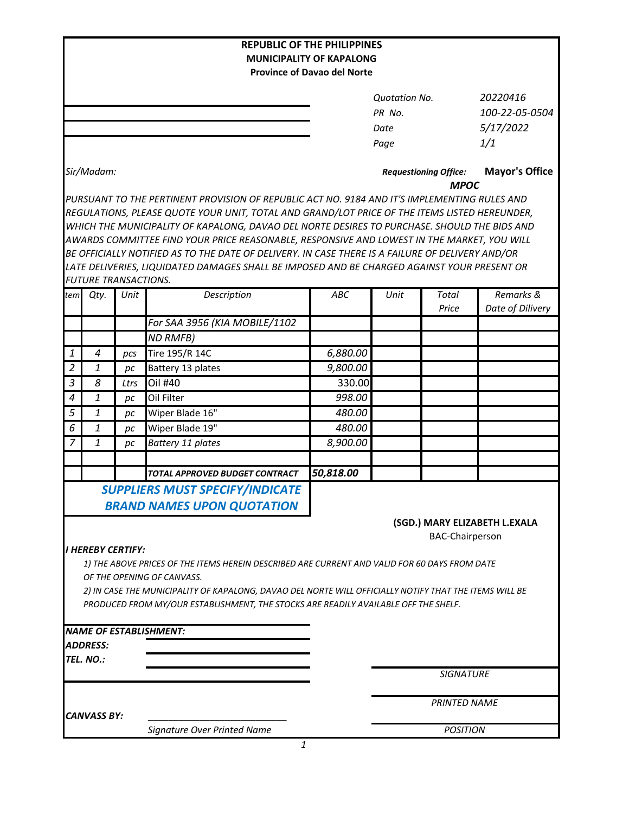| <b>REPUBLIC OF THE PHILIPPINES</b>                                                                                                                                                              |                               |      |                                                                                               |            |                                             |                     |                       |  |
|-------------------------------------------------------------------------------------------------------------------------------------------------------------------------------------------------|-------------------------------|------|-----------------------------------------------------------------------------------------------|------------|---------------------------------------------|---------------------|-----------------------|--|
| <b>MUNICIPALITY OF KAPALONG</b>                                                                                                                                                                 |                               |      |                                                                                               |            |                                             |                     |                       |  |
| <b>Province of Davao del Norte</b>                                                                                                                                                              |                               |      |                                                                                               |            |                                             |                     |                       |  |
|                                                                                                                                                                                                 |                               |      |                                                                                               |            | <b>Quotation No.</b>                        |                     | 20220416              |  |
|                                                                                                                                                                                                 |                               |      |                                                                                               |            | PR No.                                      |                     | 100-22-05-0504        |  |
|                                                                                                                                                                                                 |                               |      |                                                                                               |            | Date                                        |                     | 5/17/2022             |  |
|                                                                                                                                                                                                 |                               |      |                                                                                               |            | Page                                        |                     | 1/1                   |  |
|                                                                                                                                                                                                 |                               |      |                                                                                               |            |                                             |                     |                       |  |
|                                                                                                                                                                                                 | Sir/Madam:                    |      |                                                                                               |            | <b>Requestioning Office:</b><br><b>MPOC</b> |                     | <b>Mayor's Office</b> |  |
|                                                                                                                                                                                                 |                               |      | PURSUANT TO THE PERTINENT PROVISION OF REPUBLIC ACT NO. 9184 AND IT'S IMPLEMENTING RULES AND  |            |                                             |                     |                       |  |
|                                                                                                                                                                                                 |                               |      | REGULATIONS, PLEASE QUOTE YOUR UNIT, TOTAL AND GRAND/LOT PRICE OF THE ITEMS LISTED HEREUNDER, |            |                                             |                     |                       |  |
| WHICH THE MUNICIPALITY OF KAPALONG, DAVAO DEL NORTE DESIRES TO PURCHASE. SHOULD THE BIDS AND                                                                                                    |                               |      |                                                                                               |            |                                             |                     |                       |  |
|                                                                                                                                                                                                 |                               |      | AWARDS COMMITTEE FIND YOUR PRICE REASONABLE, RESPONSIVE AND LOWEST IN THE MARKET, YOU WILL    |            |                                             |                     |                       |  |
| BE OFFICIALLY NOTIFIED AS TO THE DATE OF DELIVERY. IN CASE THERE IS A FAILURE OF DELIVERY AND/OR<br>LATE DELIVERIES, LIQUIDATED DAMAGES SHALL BE IMPOSED AND BE CHARGED AGAINST YOUR PRESENT OR |                               |      |                                                                                               |            |                                             |                     |                       |  |
|                                                                                                                                                                                                 | <b>FUTURE TRANSACTIONS.</b>   |      |                                                                                               |            |                                             |                     |                       |  |
| tem                                                                                                                                                                                             | Qty.                          | Unit | Description                                                                                   | <b>ABC</b> | Unit                                        | <b>Total</b>        | Remarks &             |  |
|                                                                                                                                                                                                 |                               |      |                                                                                               |            |                                             | Price               | Date of Dilivery      |  |
|                                                                                                                                                                                                 |                               |      | For SAA 3956 (KIA MOBILE/1102                                                                 |            |                                             |                     |                       |  |
|                                                                                                                                                                                                 |                               |      | <b>ND RMFB)</b>                                                                               |            |                                             |                     |                       |  |
| $\mathbf{1}$                                                                                                                                                                                    | $\boldsymbol{4}$              | pcs  | Tire 195/R 14C                                                                                | 6,880.00   |                                             |                     |                       |  |
| 2                                                                                                                                                                                               | 1                             | pс   | Battery 13 plates                                                                             | 9,800.00   |                                             |                     |                       |  |
| $\mathfrak{Z}$                                                                                                                                                                                  | 8                             | Ltrs | Oil #40                                                                                       | 330.00     |                                             |                     |                       |  |
| $\boldsymbol{4}$                                                                                                                                                                                | 1                             | pс   | Oil Filter                                                                                    | 998.00     |                                             |                     |                       |  |
| 5                                                                                                                                                                                               | 1                             | pc   | Wiper Blade 16"                                                                               | 480.00     |                                             |                     |                       |  |
| 6                                                                                                                                                                                               | 1                             | pс   | Wiper Blade 19"                                                                               | 480.00     |                                             |                     |                       |  |
| 7                                                                                                                                                                                               | 1                             | pс   | Battery 11 plates                                                                             | 8,900.00   |                                             |                     |                       |  |
|                                                                                                                                                                                                 |                               |      |                                                                                               |            |                                             |                     |                       |  |
|                                                                                                                                                                                                 |                               |      | <b>TOTAL APPROVED BUDGET CONTRACT</b>                                                         | 50,818.00  |                                             |                     |                       |  |
|                                                                                                                                                                                                 |                               |      | <b>SUPPLIERS MUST SPECIFY/INDICATE</b>                                                        |            |                                             |                     |                       |  |
|                                                                                                                                                                                                 |                               |      | <b>BRAND NAMES UPON QUOTATION</b>                                                             |            |                                             |                     |                       |  |
|                                                                                                                                                                                                 | (SGD.) MARY ELIZABETH L.EXALA |      |                                                                                               |            |                                             |                     |                       |  |
|                                                                                                                                                                                                 | <b>BAC-Chairperson</b>        |      |                                                                                               |            |                                             |                     |                       |  |
| I HEREBY CERTIFY:                                                                                                                                                                               |                               |      |                                                                                               |            |                                             |                     |                       |  |
| 1) THE ABOVE PRICES OF THE ITEMS HEREIN DESCRIBED ARE CURRENT AND VALID FOR 60 DAYS FROM DATE                                                                                                   |                               |      |                                                                                               |            |                                             |                     |                       |  |
| OF THE OPENING OF CANVASS.                                                                                                                                                                      |                               |      |                                                                                               |            |                                             |                     |                       |  |
| 2) IN CASE THE MUNICIPALITY OF KAPALONG, DAVAO DEL NORTE WILL OFFICIALLY NOTIFY THAT THE ITEMS WILL BE                                                                                          |                               |      |                                                                                               |            |                                             |                     |                       |  |
|                                                                                                                                                                                                 |                               |      | PRODUCED FROM MY/OUR ESTABLISHMENT, THE STOCKS ARE READILY AVAILABLE OFF THE SHELF.           |            |                                             |                     |                       |  |
|                                                                                                                                                                                                 |                               |      |                                                                                               |            |                                             |                     |                       |  |
|                                                                                                                                                                                                 |                               |      | <b>NAME OF ESTABLISHMENT:</b>                                                                 |            |                                             |                     |                       |  |
|                                                                                                                                                                                                 | <b>ADDRESS:</b>               |      |                                                                                               |            |                                             |                     |                       |  |
|                                                                                                                                                                                                 | TEL. NO.:                     |      |                                                                                               |            |                                             | <b>SIGNATURE</b>    |                       |  |
|                                                                                                                                                                                                 |                               |      |                                                                                               |            |                                             |                     |                       |  |
|                                                                                                                                                                                                 |                               |      |                                                                                               |            |                                             | <b>PRINTED NAME</b> |                       |  |
|                                                                                                                                                                                                 | <b>CANVASS BY:</b>            |      |                                                                                               |            |                                             |                     |                       |  |
|                                                                                                                                                                                                 |                               |      | <b>Signature Over Printed Name</b>                                                            |            | <b>POSITION</b>                             |                     |                       |  |